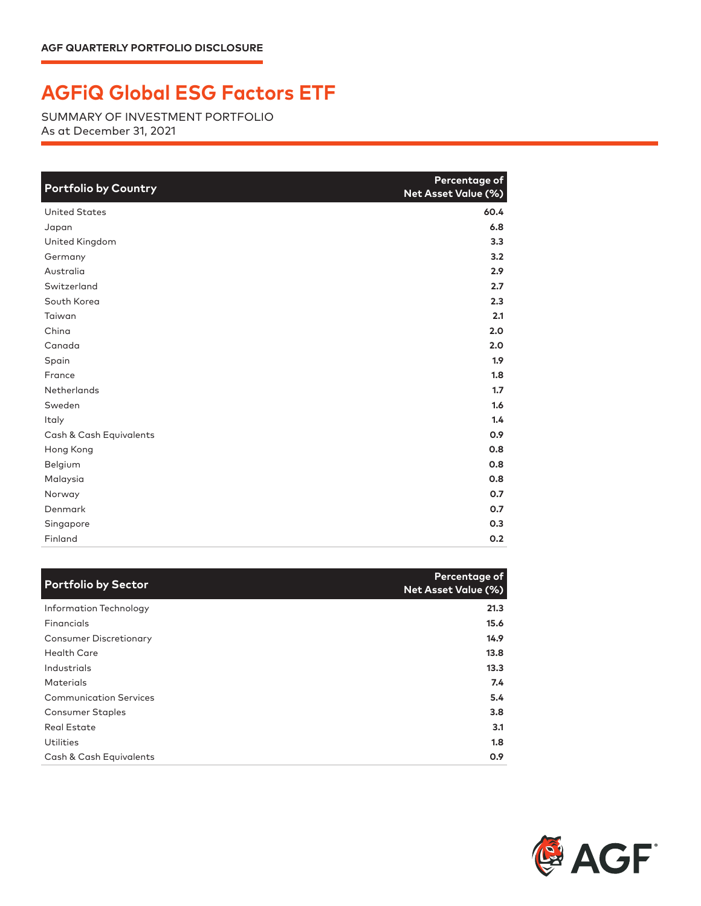## **AGFiQ Global ESG Factors ETF**

SUMMARY OF INVESTMENT PORTFOLIO As at December 31, 2021

| <b>Portfolio by Country</b> | Percentage of<br>Net Asset Value (%) |
|-----------------------------|--------------------------------------|
| <b>United States</b>        | 60.4                                 |
| Japan                       | 6.8                                  |
| United Kingdom              | 3.3                                  |
| Germany                     | 3.2                                  |
| Australia                   | 2.9                                  |
| Switzerland                 | 2.7                                  |
| South Korea                 | 2.3                                  |
| Taiwan                      | 2.1                                  |
| China                       | 2.0                                  |
| Canada                      | 2.0                                  |
| Spain                       | 1.9                                  |
| France                      | 1.8                                  |
| <b>Netherlands</b>          | 1.7                                  |
| Sweden                      | 1.6                                  |
| Italy                       | 1.4                                  |
| Cash & Cash Equivalents     | 0.9                                  |
| Hong Kong                   | 0.8                                  |
| Belgium                     | 0.8                                  |
| Malaysia                    | 0.8                                  |
| Norway                      | O.7                                  |
| Denmark                     | 0.7                                  |
| Singapore                   | 0.3                                  |
| Finland                     | 0.2                                  |

| <b>Portfolio by Sector</b>    | Percentage of<br>Net Asset Value (%) |
|-------------------------------|--------------------------------------|
| Information Technology        | 21.3                                 |
| Financials                    | 15.6                                 |
| <b>Consumer Discretionary</b> | 14.9                                 |
| <b>Health Care</b>            | 13.8                                 |
| Industrials                   | 13.3                                 |
| Materials                     | 7.4                                  |
| <b>Communication Services</b> | 5.4                                  |
| <b>Consumer Staples</b>       | 3.8                                  |
| Real Estate                   | 3.1                                  |
| Utilities                     | 1.8                                  |
| Cash & Cash Equivalents       | 0.9                                  |